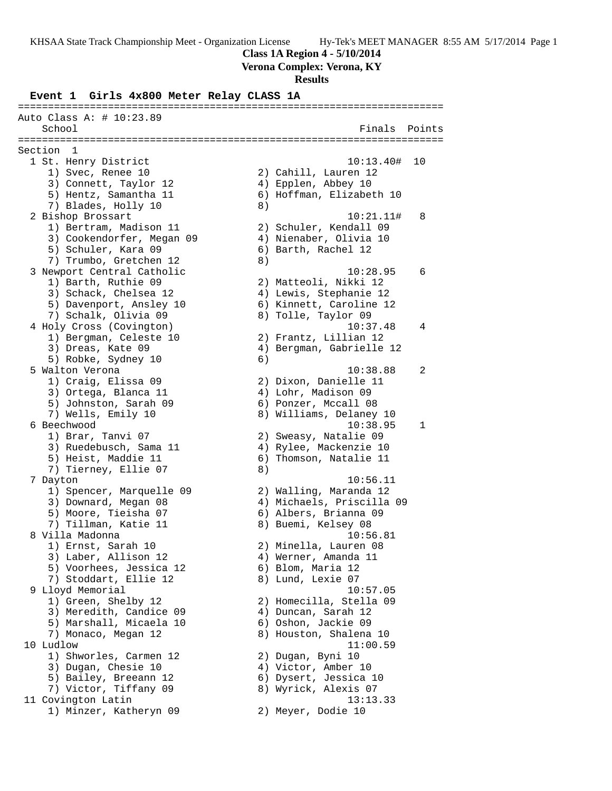**Class 1A Region 4 - 5/10/2014**

**Verona Complex: Verona, KY**

#### **Results**

# **Event 1 Girls 4x800 Meter Relay CLASS 1A**

======================================================================= Auto Class A: # 10:23.89 School **Finals Points** ======================================================================= Section 1 1 St. Henry District 10:13.40# 10 1) Svec, Renee 10 2) Cahill, Lauren 12 3) Connett, Taylor 12 4) Epplen, Abbey 10 5) Hentz, Samantha 11 6) Hoffman, Elizabeth 10 7) Blades, Holly 10 8) 2 Bishop Brossart 10:21.11# 8 1) Bertram, Madison 11 2) Schuler, Kendall 09 3) Cookendorfer, Megan 09 4) Nienaber, Olivia 10 5) Schuler, Kara 09 6) Barth, Rachel 12 7) Trumbo, Gretchen 12 (8) 3 Newport Central Catholic 10:28.95 6 1) Barth, Ruthie 09 2) Matteoli, Nikki 12 3) Schack, Chelsea 12 4) Lewis, Stephanie 12 5) Davenport, Ansley 10 6) Kinnett, Caroline 12 7) Schalk, Olivia 09 8) Tolle, Taylor 09 4 Holy Cross (Covington) 10:37.48 4 1) Bergman, Celeste 10 2) Frantz, Lillian 12 3) Dreas, Kate 09 (4) Bergman, Gabrielle 12 5) Robke, Sydney 10 (6) 5 Walton Verona 10:38.88 2 1) Craig, Elissa 09 2) Dixon, Danielle 11 3) Ortega, Blanca 11 (4) Lohr, Madison 09 5) Johnston, Sarah 09 6) Ponzer, Mccall 08 7) Wells, Emily 10 8) Williams, Delaney 10 6 Beechwood 10:38.95 1 1) Brar, Tanvi 07 2) Sweasy, Natalie 09 3) Ruedebusch, Sama 11 4) Rylee, Mackenzie 10 5) Heist, Maddie 11 6) Thomson, Natalie 11 7) Tierney, Ellie 07 8) 7 Dayton 10:56.11 1) Spencer, Marquelle 09 2) Walling, Maranda 12 3) Downard, Megan 08 4) Michaels, Priscilla 09 5) Moore, Tieisha 07 6) Albers, Brianna 09 7) Tillman, Katie 11 and 8) Buemi, Kelsey 08 8 Villa Madonna 10:56.81 1) Ernst, Sarah 10 2) Minella, Lauren 08 3) Laber, Allison 12 (4) Werner, Amanda 11 5) Voorhees, Jessica 12 6) Blom, Maria 12 7) Stoddart, Ellie 12 and 8) Lund, Lexie 07 9 Lloyd Memorial 10:57.05 1) Green, Shelby 12 2) Homecilla, Stella 09 3) Meredith, Candice 09 4) Duncan, Sarah 12 5) Marshall, Micaela 10 6) Oshon, Jackie 09 7) Monaco, Megan 12 8) Houston, Shalena 10 10 Ludlow 11:00.59 1) Shworles, Carmen 12 2) Dugan, Byni 10 3) Dugan, Chesie 10 (4) Victor, Amber 10 5) Bailey, Breeann 12 6) Dysert, Jessica 10 7) Victor, Tiffany 09 8) Wyrick, Alexis 07 11 Covington Latin 13:13.33 1) Minzer, Katheryn 09 2) Meyer, Dodie 10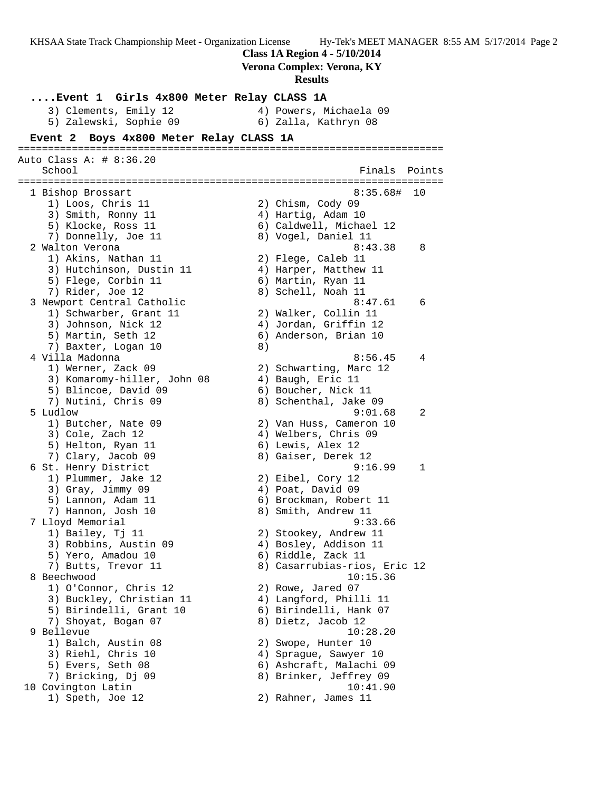**Class 1A Region 4 - 5/10/2014 Verona Complex: Verona, KY Results ....Event 1 Girls 4x800 Meter Relay CLASS 1A** 3) Clements, Emily 12 4) Powers, Michaela 09 5) Zalewski, Sophie 09 6) Zalla, Kathryn 08 **Event 2 Boys 4x800 Meter Relay CLASS 1A** ======================================================================= Auto Class A: # 8:36.20 School **Finals Points** ======================================================================= 1 Bishop Brossart 8:35.68# 10 1) Loos, Chris 11 2) Chism, Cody 09 3) Smith, Ronny 11 4) Hartig, Adam 10 5) Klocke, Ross 11 6) Caldwell, Michael 12 7) Donnelly, Joe 11 8) Vogel, Daniel 11 2 Walton Verona 2008 (1999) 8:43.38 8 1) Akins, Nathan 11 2) Flege, Caleb 11 3) Hutchinson, Dustin 11 4) Harper, Matthew 11 5) Flege, Corbin 11 6) Martin, Ryan 11 7) Rider, Joe 12 8) Schell, Noah 11 3 Newport Central Catholic **8:47.61** 6 1) Schwarber, Grant 11 2) Walker, Collin 11 3) Johnson, Nick 12 4) Jordan, Griffin 12 5) Martin, Seth 12 6) Anderson, Brian 10 7) Baxter, Logan 10 8) 4 Villa Madonna 8:56.45 4 1) Werner, Zack 09 2) Schwarting, Marc 12 3) Komaromy-hiller, John 08 4) Baugh, Eric 11 5) Blincoe, David 09 6) Boucher, Nick 11 7) Nutini, Chris 09 8) Schenthal, Jake 09 5 Ludlow 9:01.68 2 1) Butcher, Nate 09 2) Van Huss, Cameron 10 3) Cole, Zach 12 (4) Welbers, Chris 09 5) Helton, Ryan 11 6) Lewis, Alex 12 7) Clary, Jacob 09 8) Gaiser, Derek 12 6 St. Henry District 9:16.99 1 1) Plummer, Jake 12 2) Eibel, Cory 12 3) Gray, Jimmy 09 (4) Poat, David 09 5) Lannon, Adam 11 6) Brockman, Robert 11 7) Hannon, Josh 10 8) Smith, Andrew 11 7 Lloyd Memorial 9:33.66 1) Bailey, Tj 11 2) Stookey, Andrew 11 3) Robbins, Austin 09 4) Bosley, Addison 11 5) Yero, Amadou 10 6) Riddle, Zack 11 7) Butts, Trevor 11 (8) 8) Casarrubias-rios, Eric 12 8 Beechwood 10:15.36 1) O'Connor, Chris 12 2) Rowe, Jared 07 3) Buckley, Christian 11 4) Langford, Philli 11 5) Birindelli, Grant 10 6) Birindelli, Hank 07 7) Shoyat, Bogan 07 8) Dietz, Jacob 12 9 Bellevue 10:28.20 1) Balch, Austin 08 2) Swope, Hunter 10 3) Riehl, Chris 10 4) Sprague, Sawyer 10 5) Evers, Seth 08 6) Ashcraft, Malachi 09 7) Bricking, Dj 09 8) Brinker, Jeffrey 09 10 Covington Latin 10:41.90 1) Speth, Joe 12 2) Rahner, James 11

KHSAA State Track Championship Meet - Organization License Hy-Tek's MEET MANAGER 8:55 AM 5/17/2014 Page 2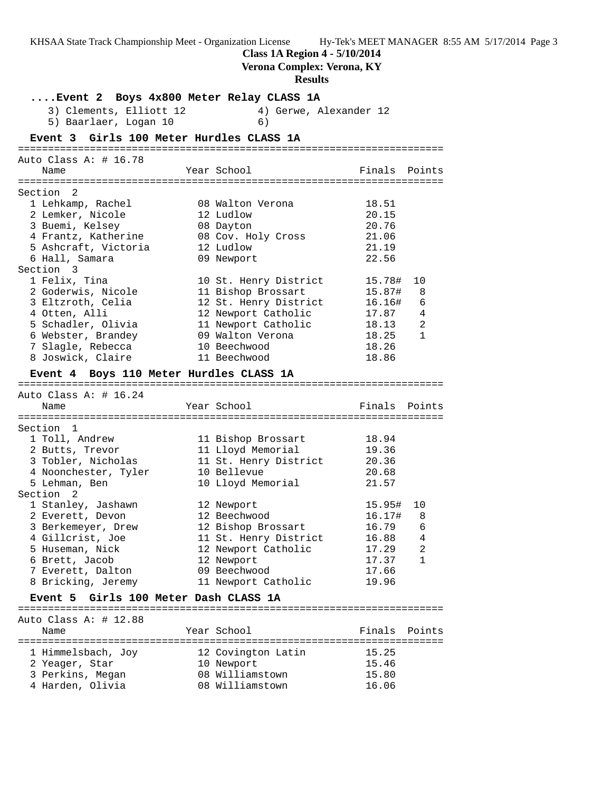**Class 1A Region 4 - 5/10/2014**

**Verona Complex: Verona, KY Results ....Event 2 Boys 4x800 Meter Relay CLASS 1A** 3) Clements, Elliott 12 4) Gerwe, Alexander 12 5) Baarlaer, Logan 10 (6) **Event 3 Girls 100 Meter Hurdles CLASS 1A** ======================================================================= Auto Class A: # 16.78 Name Tear School Tear School Finals Points ======================================================================= Section 2 1 Lehkamp, Rachel 08 Walton Verona 18.51 2 Lemker, Nicole 12 Ludlow 20.15 3 Buemi, Kelsey 08 Dayton 20.76 4 Frantz, Katherine 08 Cov. Holy Cross 21.06 5 Ashcraft, Victoria 12 Ludlow 21.19 6 Hall, Samara 09 Newport 22.56 Section 3 1 Felix, Tina 10 St. Henry District 15.78# 10 2 Goderwis, Nicole 11 Bishop Brossart 15.87# 8 3 Eltzroth, Celia 12 St. Henry District 16.16# 6 4 Otten, Alli 12 Newport Catholic 17.87 4 5 Schadler, Olivia 11 Newport Catholic 18.13 2 6 Webster, Brandey 09 Walton Verona 18.25 1 7 Slagle, Rebecca 10 Beechwood 18.26 8 Joswick, Claire 11 Beechwood 18.86 **Event 4 Boys 110 Meter Hurdles CLASS 1A** ======================================================================= Auto Class A: # 16.24 Name Year School Finals Points ======================================================================= Section 1

 1 Toll, Andrew 11 Bishop Brossart 18.94 2 Butts, Trevor 11 Lloyd Memorial 19.36 3 Tobler, Nicholas 11 St. Henry District 20.36 4 Noonchester, Tyler 10 Bellevue 20.68 5 Lehman, Ben 10 Lloyd Memorial 21.57 Section 2 1 Stanley, Jashawn 12 Newport 15.95# 10 2 Everett, Devon 12 Beechwood 16.17# 8 3 Berkemeyer, Drew 12 Bishop Brossart 16.79 6 4 Gillcrist, Joe 11 St. Henry District 16.88 4 5 Huseman, Nick 12 Newport Catholic 17.29 2 6 Brett, Jacob 12 Newport 17.37 1 7 Everett, Dalton 17.66 8 Bricking, Jeremy 11 Newport Catholic 19.96

### **Event 5 Girls 100 Meter Dash CLASS 1A**

======================================================================= Auto Class A: # 12.88 Name Year School Finals Points ======================================================================= 1 Himmelsbach, Joy 12 Covington Latin 15.25 2 Yeager, Star 10 Newport 15.46 3 Perkins, Megan 08 Williamstown 15.80 4 Harden, Olivia 08 Williamstown 16.06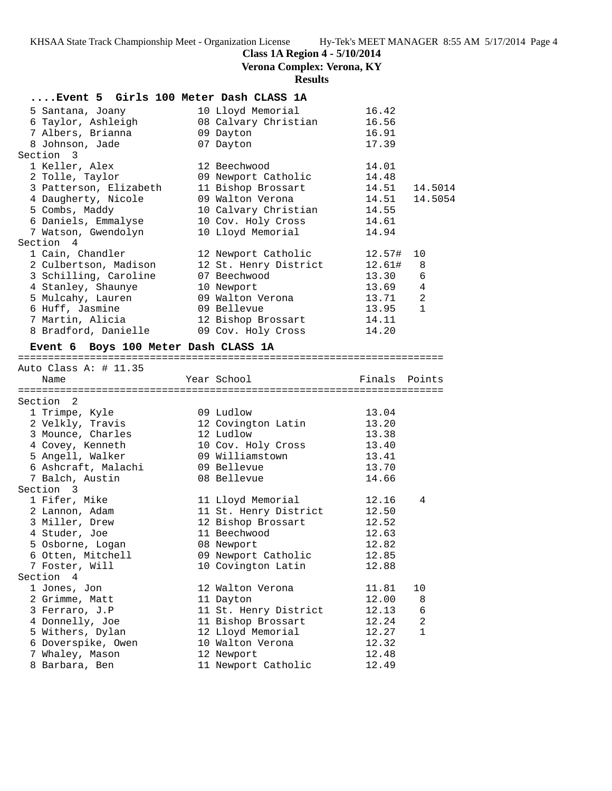# **Class 1A Region 4 - 5/10/2014**

**Verona Complex: Verona, KY**

# **Results**

# **....Event 5 Girls 100 Meter Dash CLASS 1A**

|                                                             |              | 16.42      |
|-------------------------------------------------------------|--------------|------------|
| 6 Taylor, Ashleigh 68 Calvary Christian 16.56               |              |            |
| 7 Albers, Brianna                       09 Dayton           |              | 16.91      |
| 8 Johnson, Jade 67 Dayton                                   |              | 17.39      |
| Section 3                                                   |              |            |
| 1 Keller, Alex                                              | 12 Beechwood | 14.01      |
|                                                             |              | 14.48      |
| 3 Patterson, Elizabeth 11 Bishop Brossart 14.51 14.5014     |              |            |
| 4 Daugherty, Nicole 69 Walton Verona 14.51 14.5054          |              |            |
| 5 Combs, Maddy 10 Calvary Christian 14.55                   |              |            |
| 6 Daniels, Emmalyse 10 Cov. Holy Cross 14.61                |              |            |
| 7 Watson, Gwendolyn               10 Lloyd Memorial         |              | 14.94      |
| Section 4                                                   |              |            |
| 1 Cain, Chandler 12 Newport Catholic 12.57# 10              |              |            |
| 2 Culbertson, Madison 12 St. Henry District 12.61# 8        |              |            |
| 3 Schilling, Caroline        07 Beechwood                   |              | 13.30 6    |
|                                                             |              | 13.69 4    |
| 5 Mulcahy, Lauren 69 Walton Verona                          |              | 2<br>13.71 |
|                                                             |              | 13.95 1    |
| 7 Martin, Alicia                         12 Bishop Brossart |              | 14.11      |
|                                                             |              | 14.20      |
|                                                             |              |            |

# **Event 6 Boys 100 Meter Dash CLASS 1A**

=======================================================================

| Auto Class A: # 11.35 |                       |        |                |
|-----------------------|-----------------------|--------|----------------|
| Name                  | Year School           | Finals | Points         |
|                       |                       |        |                |
| Section 2             |                       |        |                |
| 1 Trimpe, Kyle        | 09 Ludlow             | 13.04  |                |
| 2 Velkly, Travis      | 12 Covington Latin    | 13.20  |                |
| 3 Mounce, Charles     | 12 Ludlow             | 13.38  |                |
| 4 Covey, Kenneth      | 10 Cov. Holy Cross    | 13.40  |                |
| 5 Angell, Walker      | 09 Williamstown       | 13.41  |                |
| 6 Ashcraft, Malachi   | 09 Bellevue           | 13.70  |                |
| 7 Balch, Austin       | 08 Bellevue           | 14.66  |                |
| Section 3             |                       |        |                |
| 1 Fifer, Mike         | 11 Lloyd Memorial     | 12.16  | 4              |
| 2 Lannon, Adam        | 11 St. Henry District | 12.50  |                |
| 3 Miller, Drew        | 12 Bishop Brossart    | 12.52  |                |
| 4 Studer, Joe         | 11 Beechwood          | 12.63  |                |
| 5 Osborne, Logan      | 08 Newport            | 12.82  |                |
| 6 Otten, Mitchell     | 09 Newport Catholic   | 12.85  |                |
| 7 Foster, Will        | 10 Covington Latin    | 12.88  |                |
| Section 4             |                       |        |                |
| 1 Jones, Jon          | 12 Walton Verona      | 11.81  | 10             |
| 2 Grimme, Matt        | 11 Dayton             | 12.00  | 8              |
| 3 Ferraro, J.P        | 11 St. Henry District | 12.13  | 6              |
| 4 Donnelly, Joe       | 11 Bishop Brossart    | 12.24  | $\overline{2}$ |
| 5 Withers, Dylan      | 12 Lloyd Memorial     | 12.27  | $\mathbf{1}$   |
| 6 Doverspike, Owen    | 10 Walton Verona      | 12.32  |                |
| 7 Whaley, Mason       | 12 Newport            | 12.48  |                |
| 8 Barbara, Ben        | 11 Newport Catholic   | 12.49  |                |
|                       |                       |        |                |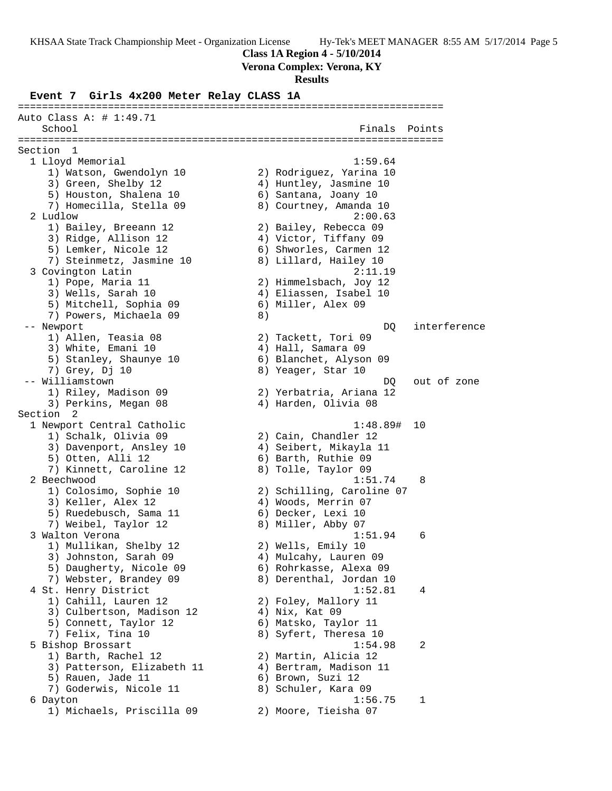**Class 1A Region 4 - 5/10/2014**

**Verona Complex: Verona, KY**

#### **Results**

**Event 7 Girls 4x200 Meter Relay CLASS 1A**

======================================================================= Auto Class A: # 1:49.71 School **Finals Points** ======================================================================= Section 1 1 Lloyd Memorial 1:59.64 1) Watson, Gwendolyn 10 2) Rodriguez, Yarina 10 3) Green, Shelby 12 4) Huntley, Jasmine 10 5) Houston, Shalena 10  $\qquad \qquad$  6) Santana, Joany 10 7) Homecilla, Stella 09 8) Courtney, Amanda 10 2 Ludlow 2:00.63 1) Bailey, Breeann 12 2) Bailey, Rebecca 09 3) Ridge, Allison 12 4) Victor, Tiffany 09 5) Lemker, Nicole 12 6) Shworles, Carmen 12 7) Steinmetz, Jasmine 10 8) Lillard, Hailey 10 3 Covington Latin 2:11.19 1) Pope, Maria 11 2) Himmelsbach, Joy 12 3) Wells, Sarah 10 4) Eliassen, Isabel 10 5) Mitchell, Sophia 09 (6) Miller, Alex 09 7) Powers, Michaela 09 8) -- Newport **DQ** interference 1) Allen, Teasia 08 2) Tackett, Tori 09 3) White, Emani 10  $\qquad \qquad$  4) Hall, Samara 09 5) Stanley, Shaunye 10 6) Blanchet, Alyson 09 7) Grey, Dj 10 8) Yeager, Star 10 -- Williamstown DQ out of zone 1) Riley, Madison 09 2) Yerbatria, Ariana 12 3) Perkins, Megan 08 (4) Harden, Olivia 08 Section 2 1 Newport Central Catholic 1:48.89# 10 1) Schalk, Olivia 09 2) Cain, Chandler 12 3) Davenport, Ansley 10 4) Seibert, Mikayla 11 5) Otten, Alli 12 6) Barth, Ruthie 09 7) Kinnett, Caroline 12 8) Tolle, Taylor 09 2 Beechwood 1:51.74 8 1) Colosimo, Sophie 10 2) Schilling, Caroline 07 3) Keller, Alex 12 (4) Woods, Merrin 07 5) Ruedebusch, Sama 11  $\qquad \qquad$  6) Decker, Lexi 10 7) Weibel, Taylor 12 and 8) Miller, Abby 07 3 Walton Verona 1:51.94 6 1) Mullikan, Shelby 12 2) Wells, Emily 10 3) Johnston, Sarah 09 4) Mulcahy, Lauren 09 5) Daugherty, Nicole 09 6) Rohrkasse, Alexa 09 7) Webster, Brandey 09 8) Derenthal, Jordan 10 4 St. Henry District 1:52.81 4 1) Cahill, Lauren 12 2) Foley, Mallory 11 3) Culbertson, Madison 12 (4) Nix, Kat 09 5) Connett, Taylor 12 6) Matsko, Taylor 11 7) Felix, Tina 10 8) Syfert, Theresa 10 5 Bishop Brossart 1:54.98 2 1) Barth, Rachel 12 2) Martin, Alicia 12 3) Patterson, Elizabeth 11 4) Bertram, Madison 11 5) Rauen, Jade 11 (6) Brown, Suzi 12 7) Goderwis, Nicole 11 and 8) Schuler, Kara 09 6 Dayton 1:56.75 1 1) Michaels, Priscilla 09 2) Moore, Tieisha 07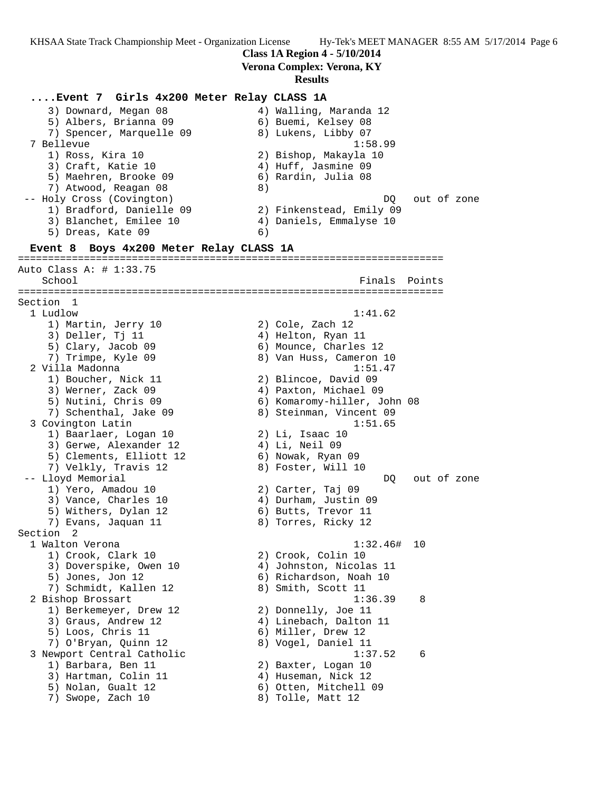**Class 1A Region 4 - 5/10/2014**

**Verona Complex: Verona, KY**

### **Results**

**....Event 7 Girls 4x200 Meter Relay CLASS 1A** 3) Downard, Megan 08 4) Walling, Maranda 12 5) Albers, Brianna 09 (6) Buemi, Kelsey 08 7) Spencer, Marquelle 09 8) Lukens, Libby 07 7 Bellevue 1:58.99 1) Ross, Kira 10 2) Bishop, Makayla 10 3) Craft, Katie 10 (4) Huff, Jasmine 09 5) Maehren, Brooke 09 6) Rardin, Julia 08 7) Atwood, Reagan 08 8) -- Holy Cross (Covington) and the control of the DQ out of zone 1) Bradford, Danielle 09 2) Finkenstead, Emily 09 3) Blanchet, Emilee 10 4) Daniels, Emmalyse 10 5) Dreas, Kate 09 (6) **Event 8 Boys 4x200 Meter Relay CLASS 1A** ======================================================================= Auto Class A: # 1:33.75 Finals Points ======================================================================= Section 1 1 Ludlow 1:41.62 1) Martin, Jerry 10 2) Cole, Zach 12 3) Deller, Tj 11 4) Helton, Ryan 11 5) Clary, Jacob 09 6) Mounce, Charles 12 7) Trimpe, Kyle 09 8) Van Huss, Cameron 10 2 Villa Madonna 1:51.47 1) Boucher, Nick 11 2) Blincoe, David 09 3) Werner, Zack 09 4) Paxton, Michael 09 5) Nutini, Chris 09 6) Komaromy-hiller, John 08 7) Schenthal, Jake 09 8) Steinman, Vincent 09 3 Covington Latin 1:51.65 1) Baarlaer, Logan 10 2) Li, Isaac 10 3) Gerwe, Alexander 12 (4) 4 A Meil 09 5) Clements, Elliott 12 6) Nowak, Ryan 09 7) Velkly, Travis 12 (8) Foster, Will 10 -- Lloyd Memorial developed a series of the DQ out of zone 1) Yero, Amadou 10 2) Carter, Taj 09 3) Vance, Charles 10 (4) Durham, Justin 09 5) Withers, Dylan 12 6) Butts, Trevor 11 7) Evans, Jaquan 11  $\hskip10mm 8)$  Torres, Ricky 12 Section 2 1 Walton Verona 1:32.46# 10 1) Crook, Clark 10 2) Crook, Colin 10 3) Doverspike, Owen 10 4) Johnston, Nicolas 11 5) Jones, Jon 12 6) Richardson, Noah 10 7) Schmidt, Kallen 12 and 8) Smith, Scott 11 2 Bishop Brossart 1:36.39 8 1) Berkemeyer, Drew 12 2) Donnelly, Joe 11 3) Graus, Andrew 12 4) Linebach, Dalton 11 5) Loos, Chris 11 6) Miller, Drew 12 7) O'Bryan, Quinn 12 8) Vogel, Daniel 11 3 Newport Central Catholic 1:37.52 6 1) Barbara, Ben 11 2) Baxter, Logan 10 3) Hartman, Colin 11 4) Huseman, Nick 12 5) Nolan, Gualt 12 6) Otten, Mitchell 09 7) Swope, Zach 10 8) Tolle, Matt 12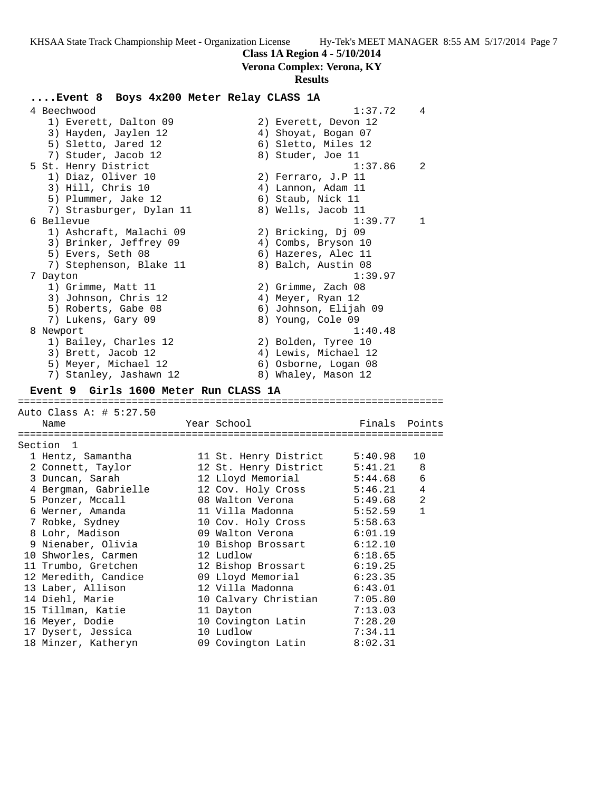**Class 1A Region 4 - 5/10/2014**

**Verona Complex: Verona, KY**

# **Results**

| Event 8 Boys 4x200 Meter Relay CLASS 1A |                                            |                    |                |
|-----------------------------------------|--------------------------------------------|--------------------|----------------|
| 4 Beechwood                             |                                            | 1:37.72            | 4              |
| 1) Everett, Dalton 09                   | 2) Everett, Devon 12                       |                    |                |
| 3) Hayden, Jaylen 12                    | 4) Shoyat, Bogan 07                        |                    |                |
| 5) Sletto, Jared 12                     | 6) Sletto, Miles 12                        |                    |                |
| 7) Studer, Jacob 12                     | 8) Studer, Joe 11                          |                    |                |
| 5 St. Henry District                    |                                            | 1:37.86            | 2              |
| 1) Diaz, Oliver 10                      | 2) Ferraro, J.P 11                         |                    |                |
| 3) Hill, Chris 10                       | 4) Lannon, Adam 11                         |                    |                |
| 5) Plummer, Jake 12                     | 6) Staub, Nick 11                          |                    |                |
| 7) Strasburger, Dylan 11                | 8) Wells, Jacob 11                         |                    |                |
| 6 Bellevue                              |                                            | 1:39.77            | 1              |
| 1) Ashcraft, Malachi 09                 | 2) Bricking, Dj 09                         |                    |                |
| 3) Brinker, Jeffrey 09                  | 4) Combs, Bryson 10                        |                    |                |
| 5) Evers, Seth 08                       | 6) Hazeres, Alec 11                        |                    |                |
| 7) Stephenson, Blake 11                 | 8) Balch, Austin 08                        |                    |                |
| 7 Dayton                                |                                            | 1:39.97            |                |
| 1) Grimme, Matt 11                      | 2) Grimme, Zach 08                         |                    |                |
| 3) Johnson, Chris 12                    | 4) Meyer, Ryan 12                          |                    |                |
| 5) Roberts, Gabe 08                     | 6) Johnson, Elijah 09                      |                    |                |
| 7) Lukens, Gary 09                      | 8) Young, Cole 09                          |                    |                |
| 8 Newport                               |                                            | 1:40.48            |                |
| 1) Bailey, Charles 12                   | 2) Bolden, Tyree 10                        |                    |                |
| 3) Brett, Jacob 12                      | 4) Lewis, Michael 12                       |                    |                |
| 5) Meyer, Michael 12                    | 6) Osborne, Logan 08                       |                    |                |
| 7) Stanley, Jashawn 12                  | 8) Whaley, Mason 12                        |                    |                |
| Event 9 Girls 1600 Meter Run CLASS 1A   |                                            |                    |                |
|                                         |                                            |                    |                |
| Auto Class A: # 5:27.50                 |                                            |                    |                |
| Name                                    | Year School                                | Finals Points      |                |
|                                         |                                            |                    |                |
| Section 1<br>1 Hentz, Samantha          |                                            | 5:40.98            | 10             |
|                                         | 11 St. Henry District                      |                    |                |
| 2 Connett, Taylor                       | 12 St. Henry District<br>12 Lloyd Memorial | 5:41.21            | 8<br>6         |
| 3 Duncan, Sarah<br>4 Bergman, Gabrielle | 12 Cov. Holy Cross                         | 5:44.68<br>5:46.21 | $\overline{4}$ |
| 5 Ponzer, Mccall                        | 08 Walton Verona                           | 5:49.68            | 2              |
| 6 Werner, Amanda                        | 11 Villa Madonna                           | 5:52.59            | $\mathbf{1}$   |
| 7 Robke, Sydney                         | 10 Cov. Holy Cross                         | 5:58.63            |                |
| 8 Lohr, Madison                         | 09 Walton Verona                           | 6:01.19            |                |
| 9 Nienaber, Olivia                      | 10 Bishop Brossart                         | 6:12.10            |                |
| 10 Shworles, Carmen                     | 12 Ludlow                                  | 6:18.65            |                |
| 11 Trumbo, Gretchen                     | 12 Bishop Brossart                         | 6:19.25            |                |
| 12 Meredith, Candice                    | 09 Lloyd Memorial                          | 6:23.35            |                |
| 13 Laber, Allison                       | 12 Villa Madonna                           |                    |                |
| 14 Diehl, Marie                         | 10 Calvary Christian                       | 6:43.01<br>7:05.80 |                |
| 15 Tillman, Katie                       | 11 Dayton                                  | 7:13.03            |                |
| 16 Meyer, Dodie                         | 10 Covington Latin                         | 7:28.20            |                |
| 17 Dysert, Jessica                      | 10 Ludlow                                  | 7:34.11            |                |
| 18 Minzer, Katheryn                     | 09 Covington Latin                         | 8:02.31            |                |
|                                         |                                            |                    |                |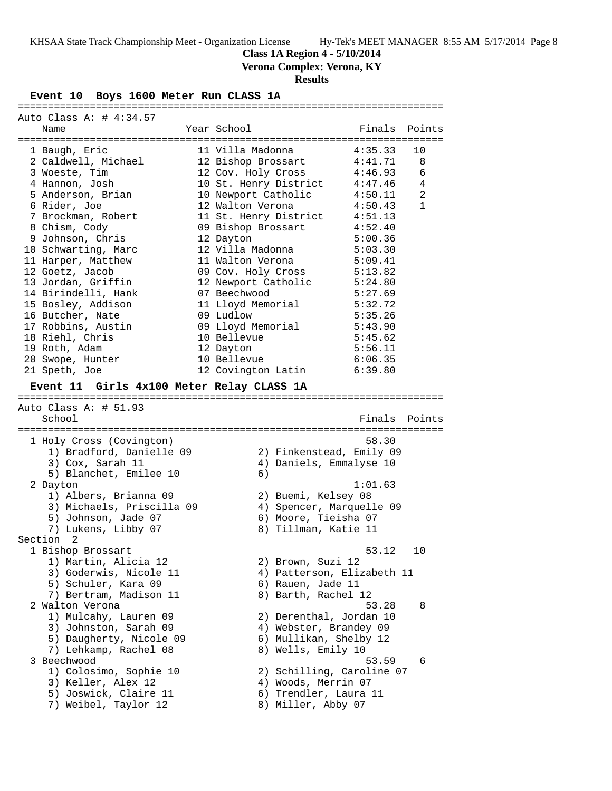**Class 1A Region 4 - 5/10/2014**

**Verona Complex: Verona, KY**

### **Results**

#### **Event 10 Boys 1600 Meter Run CLASS 1A**

======================================================================= Auto Class A: # 4:34.57 Name Year School Finals Points ======================================================================= 1 Baugh, Eric 11 Villa Madonna 4:35.33 10 2 Caldwell, Michael 12 Bishop Brossart 4:41.71 8 3 Woeste, Tim 12 Cov. Holy Cross 4:46.93 6 4 Hannon, Josh 10 St. Henry District 4:47.46 4 5 Anderson, Brian 10 Newport Catholic 4:50.11 2 6 Rider, Joe 12 Walton Verona 4:50.43 1 7 Brockman, Robert 11 St. Henry District 4:51.13 8 Chism, Cody 09 Bishop Brossart 4:52.40 9 Johnson, Chris 12 Dayton 5:00.36 10 Schwarting, Marc 12 Villa Madonna 5:03.30 11 Harper, Matthew 11 Walton Verona 5:09.41 12 Goetz, Jacob 09 Cov. Holy Cross 5:13.82 13 Jordan, Griffin 12 Newport Catholic 5:24.80 14 Birindelli, Hank 07 Beechwood 5:27.69 15 Bosley, Addison 11 Lloyd Memorial 5:32.72 16 Butcher, Nate 09 Ludlow 5:35.26 17 Robbins, Austin 09 Lloyd Memorial 5:43.90 18 Riehl, Chris 10 Bellevue 5:45.62 19 Roth, Adam 12 Dayton 5:56.11 20 Swope, Hunter 10 Bellevue 6:06.35 21 Speth, Joe 12 Covington Latin 6:39.80 **Event 11 Girls 4x100 Meter Relay CLASS 1A** ======================================================================= Auto Class A: # 51.93 School Finals Points ======================================================================= 1 Holy Cross (Covington) 58.30 1) Bradford, Danielle 09 2) Finkenstead, Emily 09 3) Cox, Sarah 11 4) Daniels, Emmalyse 10 5) Blanchet, Emilee 10 (6) 2 Dayton 1:01.63 1) Albers, Brianna 09 2) Buemi, Kelsey 08 3) Michaels, Priscilla 09 4) Spencer, Marquelle 09 5) Johnson, Jade 07 (6) Moore, Tieisha 07 7) Lukens, Libby 07 8) Tillman, Katie 11 Section 2 1 Bishop Brossart 53.12 10 1) Martin, Alicia 12 2) Brown, Suzi 12 3) Goderwis, Nicole 11 4) Patterson, Elizabeth 11 5) Schuler, Kara 09 (6) Rauen, Jade 11 7) Bertram, Madison 11 and 8) Barth, Rachel 12 2 Walton Verona 53.28 8 1) Mulcahy, Lauren 09 2) Derenthal, Jordan 10 3) Johnston, Sarah 09 4) Webster, Brandey 09 5) Daugherty, Nicole 09 6) Mullikan, Shelby 12 7) Lehkamp, Rachel 08 8) Wells, Emily 10 3 Beechwood 53.59 6 1) Colosimo, Sophie 10 2) Schilling, Caroline 07 3) Keller, Alex 12 (4) Woods, Merrin 07 5) Joswick, Claire 11 6) Trendler, Laura 11 7) Weibel, Taylor 12 and 8) Miller, Abby 07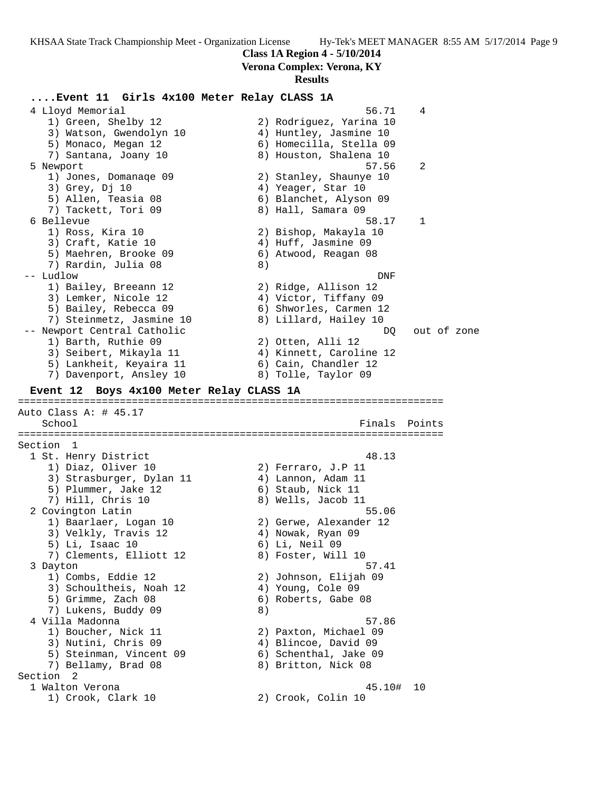**Class 1A Region 4 - 5/10/2014**

# **Verona Complex: Verona, KY**

### **Results**

### **....Event 11 Girls 4x100 Meter Relay CLASS 1A**

 4 Lloyd Memorial 56.71 4 1) Green, Shelby 12 2) Rodriguez, Yarina 10 3) Watson, Gwendolyn 10 4) Huntley, Jasmine 10 5) Monaco, Megan 12 6) Homecilla, Stella 09 7) Santana, Joany 10  $\hskip 1.5 cm$  8) Houston, Shalena 10 5 Newport 57.56 2 1) Jones, Domanaqe 09 2) Stanley, Shaunye 10 3) Grey, Dj 10 4) Yeager, Star 10 5) Allen, Teasia 08 6) Blanchet, Alyson 09 7) Tackett, Tori 09 8) Hall, Samara 09 6 Bellevue 58.17 1 1) Ross, Kira 10 2) Bishop, Makayla 10 3) Craft, Katie 10 (4) Huff, Jasmine 09 5) Maehren, Brooke 09 (6) Atwood, Reagan 08 7) Rardin, Julia 08 (8) -- Ludlow DNF 1) Bailey, Breeann 12 12 2) Ridge, Allison 12 3) Lemker, Nicole 12 4) Victor, Tiffany 09 5) Bailey, Rebecca 09 6) Shworles, Carmen 12 7) Steinmetz, Jasmine 10 8) Lillard, Hailey 10 -- Newport Central Catholic and the control of zone of zone of zone of  $DQ$  out of zone 1) Barth, Ruthie 09 2) Otten, Alli 12 3) Seibert, Mikayla 11 4) Kinnett, Caroline 12 5) Lankheit, Keyaira 11 6) Cain, Chandler 12 7) Davenport, Ansley 10 8) Tolle, Taylor 09 **Event 12 Boys 4x100 Meter Relay CLASS 1A** ======================================================================= Auto Class A: # 45.17 School **Finals Points** ======================================================================= Section 1 1 St. Henry District 48.13 1) Diaz, Oliver 10 2) Ferraro, J.P 11 3) Strasburger, Dylan 11  $\qquad \qquad \qquad$  4) Lannon, Adam 11 5) Plummer, Jake 12 (6) Staub, Nick 11 7) Hill, Chris 10 8) Wells, Jacob 11 2 Covington Latin 55.06 1) Baarlaer, Logan 10 2) Gerwe, Alexander 12 3) Velkly, Travis 12 (4) Nowak, Ryan 09 5) Li, Isaac 10 6) Li, Neil 09 7) Clements, Elliott 12 and 8) Foster, Will 10 3 Dayton 57.41 1) Combs, Eddie 12 2) Johnson, Elijah 09 3) Schoultheis, Noah 12 4) Young, Cole 09 5) Grimme, Zach 08 6) Roberts, Gabe 08 7) Lukens, Buddy 09 8) 4 Villa Madonna 57.86 1) Boucher, Nick 11 2) Paxton, Michael 09 3) Nutini, Chris 09 4) Blincoe, David 09 5) Steinman, Vincent 09 6) Schenthal, Jake 09 7) Bellamy, Brad 08 8) Britton, Nick 08 Section 2<br>1 Walton Verona 1 Walton Verona 45.10# 10 1) Crook, Clark 10 2) Crook, Colin 10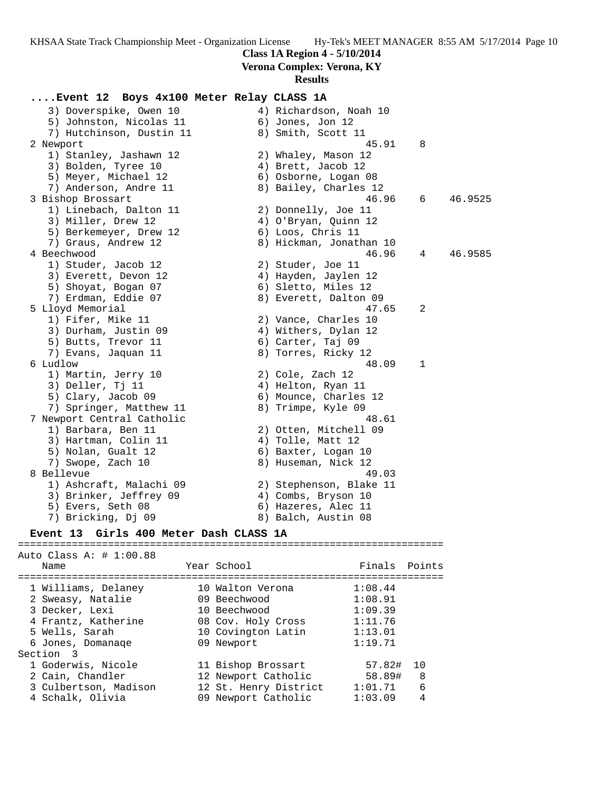# **Class 1A Region 4 - 5/10/2014**

**Verona Complex: Verona, KY**

### **Results**

# **....Event 12 Boys 4x100 Meter Relay CLASS 1A** 3) Doverspike, Owen 10 4) Richardson, Noah 10 5) Johnston, Nicolas 11 (6) Jones, Jon 12

7) Hutchinson, Dustin 11 and 8) Smith, Scott 11 2 Newport 3. 2 Newport 3. 2 Newport 3. 2 Newport 3. 2 Newport 3. 2 Newport 3. 2 Newport 3. 2 New 2. 2 New 2. 2 New 2. 2 New 2. 2 New 2. 2 New 2. 2 New 2. 2 New 2. 2 New 2. 2 New 2. 2 New 2. 2 New 2. 2 New 2. 2 New 2. 2 New 1) Stanley, Jashawn 12 2) Whaley, Mason 12 3) Bolden, Tyree 10 (4) Brett, Jacob 12 5) Meyer, Michael 12 (6) Osborne, Logan 08 7) Anderson, Andre 11 8) Bailey, Charles 12 3 Bishop Brossart 46.96 6 46.9525 1) Linebach, Dalton 11 2) Donnelly, Joe 11 3) Miller, Drew 12 (4) O'Bryan, Quinn 12 5) Berkemeyer, Drew 12 (6) Loos, Chris 11 7) Graus, Andrew 12 8) Hickman, Jonathan 10 4 Beechwood 46.96 4 46.9585 1) Studer, Jacob 12 2) Studer, Joe 11 3) Everett, Devon 12 4) Hayden, Jaylen 12 5) Shoyat, Bogan 07 (6) Sletto, Miles 12 7) Erdman, Eddie 07 8) Everett, Dalton 09 5 Lloyd Memorial 47.65 2 1) Fifer, Mike 11 2) Vance, Charles 10 3) Durham, Justin 09 (4) Withers, Dylan 12 5) Butts, Trevor 11 (6) Carter, Taj 09 7) Evans, Jaquan 11 and 8) Torres, Ricky 12 6 Ludlow 48.09 1 1) Martin, Jerry 10 2) Cole, Zach 12 3) Deller, Tj 11 4) Helton, Ryan 11 5) Clary, Jacob 09 6) Mounce, Charles 12 7) Springer, Matthew 11 8) Trimpe, Kyle 09 7 Newport Central Catholic 48.61 1) Barbara, Ben 11 2) Otten, Mitchell 09 3) Hartman, Colin 11 (4) Tolle, Matt 12 5) Nolan, Gualt 12 (6) Baxter, Logan 10 7) Swope, Zach 10 8) Huseman, Nick 12 8 Bellevue 49.03 1) Ashcraft, Malachi 09 2) Stephenson, Blake 11 3) Brinker, Jeffrey 09 4) Combs, Bryson 10 5) Evers, Seth 08 6) Hazeres, Alec 11 7) Bricking, Dj 09 8) Balch, Austin 08

# **Event 13 Girls 400 Meter Dash CLASS 1A** ======================================================================= Auto Class A: # 1:00.88 Name The Year School Team Points ======================================================================= 1 Williams, Delaney 10 Walton Verona 1:08.44 2 Sweasy, Natalie 09 Beechwood 1:08.91 3 Decker, Lexi 10 Beechwood 1:09.39 4 Frantz, Katherine 08 Cov. Holy Cross 1:11.76 5 Wells, Sarah 10 Covington Latin 1:13.01 6 Jones, Domanaqe 09 Newport 1:19.71 Section 3 1 Goderwis, Nicole 11 Bishop Brossart 57.82# 10 2 Cain, Chandler 12 Newport Catholic 58.89# 8 3 Culbertson, Madison 12 St. Henry District 1:01.71 6 4 Schalk, Olivia 09 Newport Catholic 1:03.09 4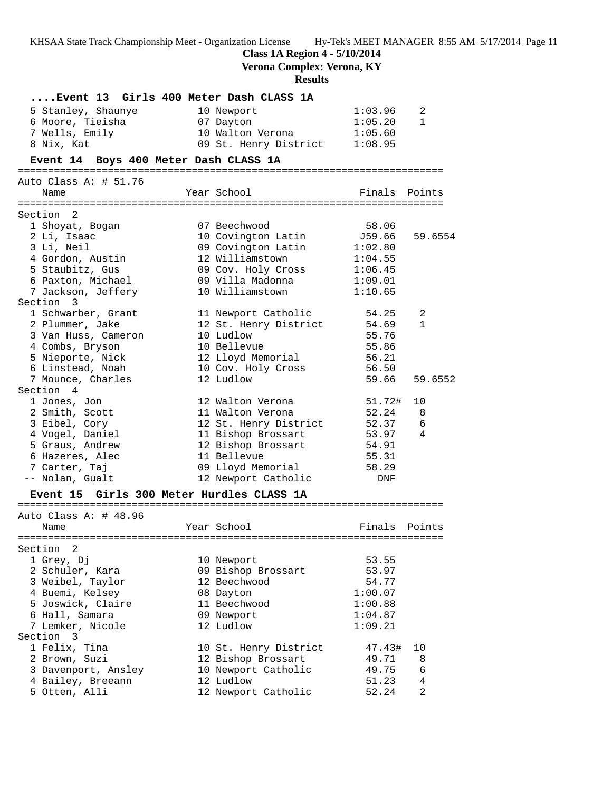**Class 1A Region 4 - 5/10/2014**

**Verona Complex: Verona, KY**

# **Results**

|                                       | Event 13 Girls 400 Meter Dash CLASS 1A    |                 |                |
|---------------------------------------|-------------------------------------------|-----------------|----------------|
| 5 Stanley, Shaunye                    | 10 Newport                                | 1:03.96         | 2              |
| 6 Moore, Tieisha                      | 07 Dayton                                 | 1:05.20         | $\mathbf{1}$   |
| 7 Wells, Emily                        | 10 Walton Verona                          | 1:05.60         |                |
| 8 Nix, Kat                            | 09 St. Henry District 1:08.95             |                 |                |
| Event 14 Boys 400 Meter Dash CLASS 1A |                                           |                 |                |
| Auto Class A: $\#$ 51.76              |                                           |                 |                |
| Name                                  | Year School                               | Finals Points   |                |
|                                       |                                           |                 |                |
| Section 2<br>1 Shoyat, Bogan          | 07 Beechwood                              | 58.06           |                |
| 2 Li, Isaac                           | 10 Covington Latin                        | J59.66          | 59.6554        |
| 3 Li, Neil                            | 09 Covington Latin                        | 1:02.80         |                |
| 4 Gordon, Austin                      | 12 Williamstown                           | 1:04.55         |                |
| 5 Staubitz, Gus                       | 09 Cov. Holy Cross                        | 1:06.45         |                |
|                                       | 6 Paxton, Michael 69 Villa Madonna        | 1:09.01         |                |
| 7 Jackson, Jeffery                    | 10 Williamstown                           | 1:10.65         |                |
| Section 3                             |                                           |                 |                |
| 1 Schwarber, Grant                    | 11 Newport Catholic                       | 54.25           | 2              |
| 2 Plummer, Jake                       | 12 St. Henry District                     | 54.69           | $\mathbf{1}$   |
| 3 Van Huss, Cameron                   | 10 Ludlow                                 | 55.76           |                |
| 4 Combs, Bryson                       | 10 Bellevue                               | 55.86           |                |
|                                       | 12 Lloyd Memorial                         |                 |                |
| 5 Nieporte, Nick                      |                                           | 56.21           |                |
| 6 Linstead, Noah                      | 10 Cov. Holy Cross                        | 56.50           |                |
| 7 Mounce, Charles<br>Section 4        | 12 Ludlow                                 | 59.66           | 59.6552        |
|                                       |                                           |                 |                |
| 1 Jones, Jon                          | 12 Walton Verona<br>11 Walton Verona      | 51.72#<br>52.24 | 10             |
| 2 Smith, Scott                        |                                           |                 | - 8            |
| 3 Eibel, Cory                         | 12 St. Henry District                     | 52.37 6         |                |
| 4 Vogel, Daniel                       | 11 Bishop Brossart                        | 53.97           | 4              |
| 5 Graus, Andrew                       | 12 Bishop Brossart                        | 54.91           |                |
| 6 Hazeres, Alec                       | 11 Bellevue                               | 55.31           |                |
| 7 Carter, Taj                         | 09 Lloyd Memorial                         | 58.29           |                |
| -- Nolan, Gualt                       | 12 Newport Catholic                       | DNF             |                |
|                                       | Event 15 Girls 300 Meter Hurdles CLASS 1A |                 |                |
| Auto Class A: # 48.96                 |                                           |                 |                |
| Name                                  | Year School                               | Finals Points   |                |
|                                       |                                           |                 |                |
| Section 2                             |                                           |                 |                |
| 1 Grey, Dj                            | 10 Newport                                | 53.55           |                |
| 2 Schuler, Kara                       | 09 Bishop Brossart                        | 53.97           |                |
| 3 Weibel, Taylor                      | 12 Beechwood                              | 54.77           |                |
| 4 Buemi, Kelsey                       | 08 Dayton                                 | 1:00.07         |                |
| 5 Joswick, Claire                     | 11 Beechwood                              | 1:00.88         |                |
| 6 Hall, Samara                        | 09 Newport                                | 1:04.87         |                |
| 7 Lemker, Nicole                      | 12 Ludlow                                 | 1:09.21         |                |
| Section<br>$\overline{\mathbf{3}}$    |                                           |                 |                |
| 1 Felix, Tina                         | 10 St. Henry District                     | 47.43#          | 10             |
| 2 Brown, Suzi                         | 12 Bishop Brossart                        | 49.71           | 8              |
| 3 Davenport, Ansley                   | 10 Newport Catholic                       | 49.75           | 6              |
| 4 Bailey, Breeann                     | 12 Ludlow                                 | 51.23           | 4              |
| 5 Otten, Alli                         | 12 Newport Catholic                       | 52.24           | $\overline{2}$ |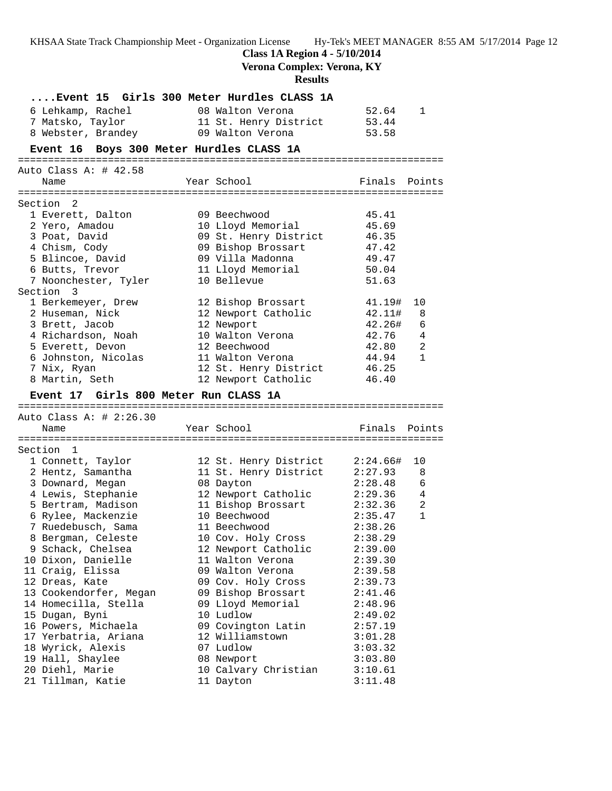**Class 1A Region 4 - 5/10/2014**

**Verona Complex: Verona, KY**

**Results**

| Event 15 Girls 300 Meter Hurdles CLASS 1A<br>6 Lehkamp, Rachel | 08 Walton Verona                          | 52.64              | 1            |
|----------------------------------------------------------------|-------------------------------------------|--------------------|--------------|
| 7 Matsko, Taylor<br>8 Webster, Brandey                         | 11 St. Henry District<br>09 Walton Verona | 53.44<br>53.58     |              |
| Event 16 Boys 300 Meter Hurdles CLASS 1A                       |                                           |                    |              |
|                                                                |                                           |                    |              |
| Auto Class A: $\#$ 42.58<br>Name                               | Year School                               | Finals Points      |              |
| Section 2                                                      |                                           |                    |              |
| 1 Everett, Dalton                                              | 09 Beechwood                              | 45.41              |              |
| 2 Yero, Amadou                                                 | 10 Lloyd Memorial                         | 45.69              |              |
| 3 Poat, David                                                  | 09 St. Henry District                     | 46.35              |              |
| 4 Chism, Cody                                                  | 09 Bishop Brossart                        | 47.42              |              |
| 5 Blincoe, David                                               | 09 Villa Madonna                          | 49.47              |              |
| 6 Butts, Trevor                                                | 11 Lloyd Memorial                         | 50.04              |              |
| 7 Noonchester, Tyler                                           | 10 Bellevue                               | 51.63              |              |
| Section 3                                                      |                                           |                    |              |
| 1 Berkemeyer, Drew                                             | 12 Bishop Brossart                        | 41.19#             | 10           |
| 2 Huseman, Nick                                                | 12 Newport Catholic                       | 42.11#             | 8            |
| 3 Brett, Jacob                                                 | 12 Newport                                | 42.26#             | 6            |
| 4 Richardson, Noah                                             | 10 Walton Verona                          | 42.76              | 4            |
| 5 Everett, Devon                                               | 12 Beechwood                              | 42.80              | 2            |
| 6 Johnston, Nicolas                                            | 11 Walton Verona                          | 44.94              | 1            |
| 7 Nix, Ryan                                                    | 12 St. Henry District                     | 46.25              |              |
| 8 Martin, Seth                                                 | 12 Newport Catholic                       | 46.40              |              |
| Event 17 Girls 800 Meter Run CLASS 1A                          |                                           |                    |              |
|                                                                |                                           |                    |              |
| Auto Class A: # 2:26.30                                        |                                           |                    |              |
| Name                                                           | Year School                               | Finals             | Points       |
|                                                                |                                           |                    |              |
| Section 1                                                      |                                           |                    |              |
| 1 Connett, Taylor                                              | 12 St. Henry District                     | 2:24.66#           | 10           |
| 2 Hentz, Samantha                                              | 11 St. Henry District                     | 2:27.93            | 8            |
| 3 Downard, Megan                                               | 08 Dayton                                 | 2:28.48            | 6            |
| 4 Lewis, Stephanie                                             | 12 Newport Catholic                       | $2:29.36$ 4        |              |
| 5 Bertram, Madison                                             | 11 Bishop Brossart                        | 2:32.36            | 2            |
| 6 Rylee, Mackenzie                                             | 10 Beechwood                              | 2:35.47            | $\mathbf{1}$ |
| 7 Ruedebusch, Sama                                             | 11 Beechwood                              | 2:38.26            |              |
| 8 Bergman, Celeste                                             | 10 Cov. Holy Cross                        | 2:38.29            |              |
| 9 Schack, Chelsea                                              | 12 Newport Catholic<br>11 Walton Verona   | 2:39.00            |              |
| 10 Dixon, Danielle                                             | 09 Walton Verona                          | 2:39.30            |              |
| 11 Craig, Elissa<br>12 Dreas, Kate                             |                                           | 2:39.58            |              |
| 13 Cookendorfer, Megan                                         | 09 Cov. Holy Cross<br>09 Bishop Brossart  | 2:39.73<br>2:41.46 |              |
| 14 Homecilla, Stella                                           |                                           |                    |              |
| 15 Dugan, Byni                                                 | 09 Lloyd Memorial<br>10 Ludlow            | 2:48.96<br>2:49.02 |              |
| 16 Powers, Michaela                                            | 09 Covington Latin                        | 2:57.19            |              |
| 17 Yerbatria, Ariana                                           | 12 Williamstown                           | 3:01.28            |              |
| 18 Wyrick, Alexis                                              | 07 Ludlow                                 | 3:03.32            |              |
| 19 Hall, Shaylee                                               | 08 Newport                                | 3:03.80            |              |
| 20 Diehl, Marie                                                | 10 Calvary Christian                      | 3:10.61            |              |
| 21 Tillman, Katie                                              | 11 Dayton                                 | 3:11.48            |              |
|                                                                |                                           |                    |              |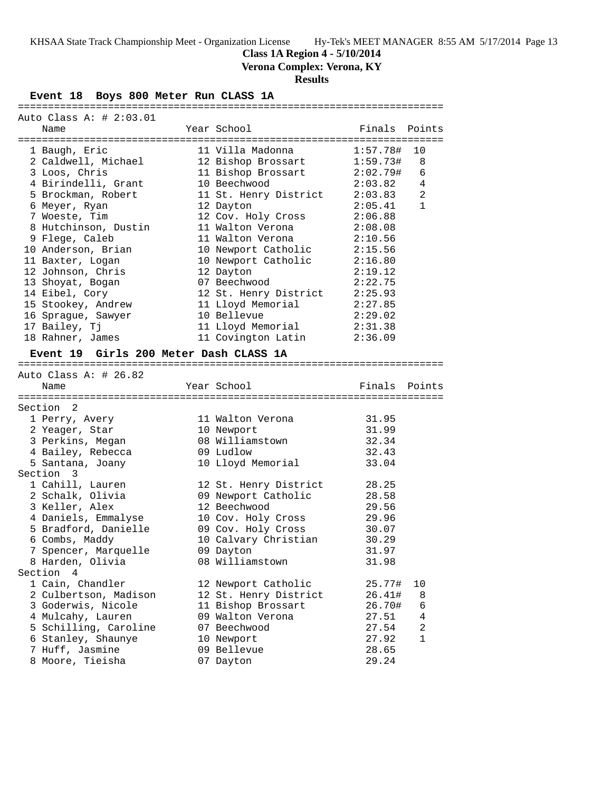**Class 1A Region 4 - 5/10/2014**

**Verona Complex: Verona, KY**

# **Results**

# **Event 18 Boys 800 Meter Run CLASS 1A**

| Auto Class A: # 2:03.01                |                               |          |              |
|----------------------------------------|-------------------------------|----------|--------------|
| Name                                   | Year School                   | Finals   | Points       |
|                                        |                               |          |              |
| 1 Baugh, Eric                          | 11 Villa Madonna              | 1:57.78# | 10           |
| 2 Caldwell, Michael                    | 12 Bishop Brossart            | 1:59.73# | 8            |
| 3 Loos, Chris                          | 11 Bishop Brossart            | 2:02.79# | 6            |
| 4 Birindelli, Grant                    | 10 Beechwood                  | 2:03.82  | 4            |
| 5 Brockman, Robert                     | 11 St. Henry District         | 2:03.83  | 2            |
| 6 Meyer, Ryan                          | 12 Dayton                     | 2:05.41  | $\mathbf{1}$ |
| 7 Woeste, Tim                          | 12 Cov. Holy Cross            | 2:06.88  |              |
| 8 Hutchinson, Dustin                   | 11 Walton Verona              | 2:08.08  |              |
| 9 Flege, Caleb                         | 11 Walton Verona              | 2:10.56  |              |
| 10 Anderson, Brian                     | 10 Newport Catholic           | 2:15.56  |              |
| 11 Baxter, Logan                       | 10 Newport Catholic           | 2:16.80  |              |
| 12 Johnson, Chris                      | 12 Dayton                     | 2:19.12  |              |
| 13 Shoyat, Bogan                       | 07 Beechwood                  | 2:22.75  |              |
| 14 Eibel, Cory                         | 12 St. Henry District         | 2:25.93  |              |
| 15 Stookey, Andrew                     | 11 Lloyd Memorial             | 2:27.85  |              |
| 16 Sprague, Sawyer                     | 10 Bellevue                   | 2:29.02  |              |
| 17 Bailey, Tj                          | 11 Lloyd Memorial             | 2:31.38  |              |
| 18 Rahner, James                       | 11 Covington Latin            | 2:36.09  |              |
|                                        |                               |          |              |
| Event 19 Girls 200 Meter Dash CLASS 1A |                               |          |              |
|                                        |                               |          |              |
| Auto Class A: # 26.82                  |                               |          |              |
| Name                                   | Year School                   | Finals   | Points       |
|                                        |                               |          |              |
| Section 2                              |                               | 31.95    |              |
| 1 Perry, Avery                         | 11 Walton Verona              | 31.99    |              |
| 2 Yeager, Star                         | 10 Newport<br>08 Williamstown | 32.34    |              |
| 3 Perkins, Megan                       |                               |          |              |
| 4 Bailey, Rebecca                      | 09 Ludlow                     | 32.43    |              |
| 5 Santana, Joany                       | 10 Lloyd Memorial             | 33.04    |              |
| Section 3                              |                               |          |              |
| 1 Cahill, Lauren                       | 12 St. Henry District         | 28.25    |              |
| 2 Schalk, Olivia                       | 09 Newport Catholic           | 28.58    |              |
| 3 Keller, Alex                         | 12 Beechwood                  | 29.56    |              |
| 4 Daniels, Emmalyse                    | 10 Cov. Holy Cross            | 29.96    |              |
| 5 Bradford, Danielle                   | 09 Cov. Holy Cross            | 30.07    |              |
| 6 Combs, Maddy                         | 10 Calvary Christian          | 30.29    |              |
| 7 Spencer, Marquelle                   | 09 Dayton                     | 31.97    |              |
| 8 Harden, Olivia                       | 08 Williamstown               | 31.98    |              |
| Section 4                              |                               |          |              |
| 1 Cain, Chandler                       | 12 Newport Catholic           | 25.77#   | 10           |
| 2 Culbertson, Madison                  | 12 St. Henry District         | 26.41#   | 8            |
| 3 Goderwis, Nicole                     | 11 Bishop Brossart            | 26.70#   | 6            |
| 4 Mulcahy, Lauren                      | 09 Walton Verona              | 27.51    | 4            |
| 5 Schilling, Caroline                  | 07 Beechwood                  | 27.54    | 2            |
| 6 Stanley, Shaunye                     | 10 Newport                    | 27.92    | $\mathbf{1}$ |
| 7 Huff, Jasmine                        | 09 Bellevue                   | 28.65    |              |
| 8 Moore, Tieisha                       | 07 Dayton                     | 29.24    |              |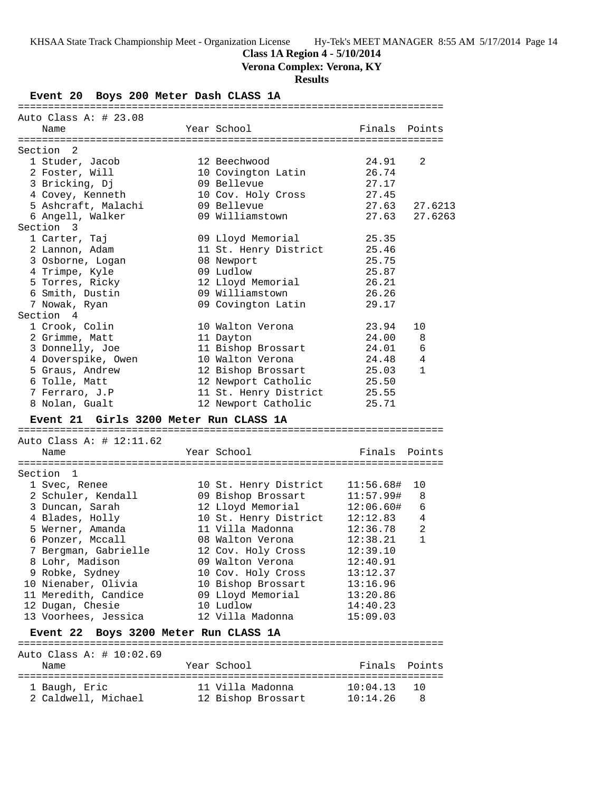**Class 1A Region 4 - 5/10/2014**

**Verona Complex: Verona, KY**

**Results**

**Event 20 Boys 200 Meter Dash CLASS 1A**

| Auto Class A: $\#$ 23.08 |                       |               |              |
|--------------------------|-----------------------|---------------|--------------|
| Name                     | Year School           | Finals Points |              |
| Section 2                |                       |               |              |
| 1 Studer, Jacob          | 12 Beechwood          | 24.91         | 2            |
| 2 Foster, Will           | 10 Covington Latin    | 26.74         |              |
| 3 Bricking, Dj           | 09 Bellevue           | 27.17         |              |
| 4 Covey, Kenneth         | 10 Cov. Holy Cross    | 27.45         |              |
| 5 Ashcraft, Malachi      | 09 Bellevue           | 27.63         | 27.6213      |
| 6 Angell, Walker         | 09 Williamstown       | 27.63         | 27.6263      |
| Section 3                |                       |               |              |
| 1 Carter, Taj            | 09 Lloyd Memorial     | 25.35         |              |
| 2 Lannon, Adam           | 11 St. Henry District | 25.46         |              |
| 3 Osborne, Logan         | 08 Newport            | 25.75         |              |
| 4 Trimpe, Kyle           | 09 Ludlow             | 25.87         |              |
| 5 Torres, Ricky          | 12 Lloyd Memorial     | 26.21         |              |
| 6 Smith, Dustin          | 09 Williamstown       | 26.26         |              |
| 7 Nowak, Ryan            | 09 Covington Latin    | 29.17         |              |
| Section 4                |                       |               |              |
| 1 Crook, Colin           | 10 Walton Verona      | 23.94         | 10           |
| 2 Grimme, Matt           | 11 Dayton             | 24.00         | 8            |
| 3 Donnelly, Joe          | 11 Bishop Brossart    | 24.01         | 6            |
| 4 Doverspike, Owen       | 10 Walton Verona      | 24.48         | 4            |
| 5 Graus, Andrew          | 12 Bishop Brossart    | 25.03         | $\mathbf{1}$ |
| 6 Tolle, Matt            | 12 Newport Catholic   | 25.50         |              |
| 7 Ferraro, J.P           | 11 St. Henry District | 25.55         |              |
| 8 Nolan, Gualt           | 12 Newport Catholic   | 25.71         |              |

=======================================================================

### **Event 21 Girls 3200 Meter Run CLASS 1A**

======================================================================= Auto Class A: # 12:11.62 Name Year School Finals Points ======================================================================= Section 1 1 Svec, Renee 10 St. Henry District 11:56.68# 10 2 Schuler, Kendall 09 Bishop Brossart 11:57.99# 8 3 Duncan, Sarah 12 Lloyd Memorial 12:06.60# 6 4 Blades, Holly 10 St. Henry District 12:12.83 4 5 Werner, Amanda 11 Villa Madonna 12:36.78 2 6 Ponzer, Mccall 08 Walton Verona 12:38.21 1 7 Bergman, Gabrielle 12 Cov. Holy Cross 12:39.10 8 Lohr, Madison 09 Walton Verona 12:40.91 9 Robke, Sydney 10 Cov. Holy Cross 13:12.37 10 Nienaber, Olivia 10 Bishop Brossart 13:16.96 11 Meredith, Candice 09 Lloyd Memorial 13:20.86 12 Dugan, Chesie 10 Ludlow 14:40.23 13 Voorhees, Jessica 12 Villa Madonna 15:09.03 **Event 22 Boys 3200 Meter Run CLASS 1A** ======================================================================= Auto Class A: # 10:02.69 Name Year School Finals Points

| <b>NQUIC</b>        | ICAL DUIUUI        |               | $F \perp H \sim 1$ |
|---------------------|--------------------|---------------|--------------------|
|                     |                    |               |                    |
| 1 Baugh, Eric       | 11 Villa Madonna   | $10:04.13$ 10 |                    |
| 2 Caldwell, Michael | 12 Bishop Brossart | 10:14.26      | - 8                |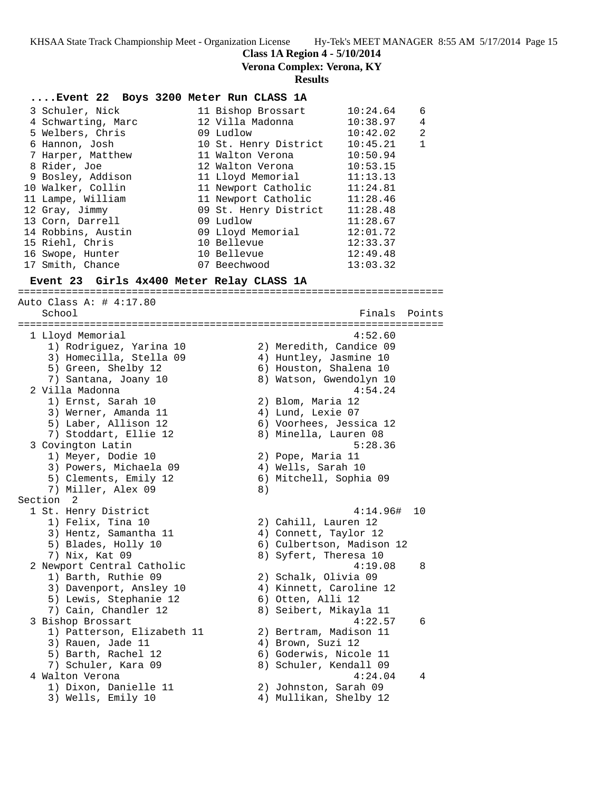**Class 1A Region 4 - 5/10/2014**

**Verona Complex: Verona, KY**

### **Results**

# **....Event 22 Boys 3200 Meter Run CLASS 1A**

| 3 Schuler, Nick    | 11 Bishop Brossart    | 10:24.64 | 6 |
|--------------------|-----------------------|----------|---|
| 4 Schwarting, Marc | 12 Villa Madonna      | 10:38.97 | 4 |
| 5 Welbers, Chris   | 09 Ludlow             | 10:42.02 | 2 |
| 6 Hannon, Josh     | 10 St. Henry District | 10:45.21 | 1 |
| 7 Harper, Matthew  | 11 Walton Verona      | 10:50.94 |   |
| 8 Rider, Joe       | 12 Walton Verona      | 10:53.15 |   |
| 9 Bosley, Addison  | 11 Lloyd Memorial     | 11:13.13 |   |
| 10 Walker, Collin  | 11 Newport Catholic   | 11:24.81 |   |
| 11 Lampe, William  | 11 Newport Catholic   | 11:28.46 |   |
| 12 Gray, Jimmy     | 09 St. Henry District | 11:28.48 |   |
| 13 Corn, Darrell   | 09 Ludlow             | 11:28.67 |   |
| 14 Robbins, Austin | 09 Lloyd Memorial     | 12:01.72 |   |
| 15 Riehl, Chris    | 10 Bellevue           | 12:33.37 |   |
| 16 Swope, Hunter   | 10 Bellevue           | 12:49.48 |   |
| 17 Smith, Chance   | 07 Beechwood          | 13:03.32 |   |

=======================================================================

#### **Event 23 Girls 4x400 Meter Relay CLASS 1A**

Auto Class A: # 4:17.80 School Finals Points ======================================================================= 1 Lloyd Memorial 4:52.60 1) Rodriguez, Yarina 10 2) Meredith, Candice 09 3) Homecilla, Stella 09 4) Huntley, Jasmine 10 5) Green, Shelby 12 6) Houston, Shalena 10 7) Santana, Joany 10 8) Watson, Gwendolyn 10 2 Villa Madonna 4:54.24 1) Ernst, Sarah 10 2) Blom, Maria 12 3) Werner, Amanda 11 4) Lund, Lexie 07 5) Laber, Allison 12 6) Voorhees, Jessica 12 7) Stoddart, Ellie 12 8) Minella, Lauren 08 3 Covington Latin 5:28.36 1) Meyer, Dodie 10 2) Pope, Maria 11 3) Powers, Michaela 09 (4) Wells, Sarah 10 5) Clements, Emily 12 6) Mitchell, Sophia 09 7) Miller, Alex 09 8) Section 2 1 St. Henry District 4:14.96# 10 1) Felix, Tina 10 2) Cahill, Lauren 12 3) Hentz, Samantha 11 4) Connett, Taylor 12 5) Blades, Holly 10 6) Culbertson, Madison 12 7) Nix, Kat 09 8) Syfert, Theresa 10 2 Newport Central Catholic 4:19.08 8 1) Barth, Ruthie 09 2) Schalk, Olivia 09 3) Davenport, Ansley 10 4) Kinnett, Caroline 12 5) Lewis, Stephanie 12 (6) Otten, Alli 12 7) Cain, Chandler 12 8) Seibert, Mikayla 11 3 Bishop Brossart 4:22.57 6 1) Patterson, Elizabeth 11 2) Bertram, Madison 11 3) Rauen, Jade 11 (4) Brown, Suzi 12 5) Barth, Rachel 12 6) Goderwis, Nicole 11 7) Schuler, Kara 09 8) Schuler, Kendall 09 4 Walton Verona 4:24.04 4 1) Dixon, Danielle 11 2) Johnston, Sarah 09 3) Wells, Emily 10 4) Mullikan, Shelby 12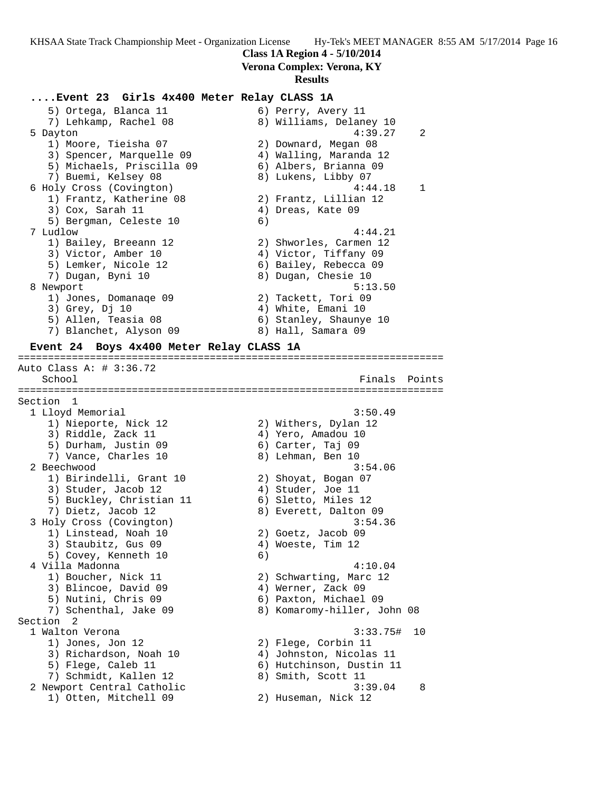# **Class 1A Region 4 - 5/10/2014**

**Verona Complex: Verona, KY**

### **Results**

#### **....Event 23 Girls 4x400 Meter Relay CLASS 1A**

5) Ortega, Blanca 11 (6) Perry, Avery 11<br>
7) Lehkamp, Rachel 08 (8) Williams, Delaney 10 7) Lehkamp, Rachel 08 8) Williams, Delaney 10 5 Dayton 4:39.27 2 1) Moore, Tieisha 07 2) Downard, Megan 08 3) Spencer, Marquelle 09 4) Walling, Maranda 12 5) Michaels, Priscilla 09 6) Albers, Brianna 09 7) Buemi, Kelsey 08 8) Lukens, Libby 07 6 Holy Cross (Covington) 4:44.18 1 1) Frantz, Katherine 08 2) Frantz, Lillian 12 3) Cox, Sarah 11 (4) Dreas, Kate 09 5) Bergman, Celeste 10 (6) 7 Ludlow 4:44.21 1) Bailey, Breeann 12 2) Shworles, Carmen 12 3) Victor, Amber 10  $\hskip1cm$  4) Victor, Tiffany 09 5) Lemker, Nicole 12 6) Bailey, Rebecca 09 7) Dugan, Byni 10 8) Dugan, Chesie 10 8 Newport 5:13.50 1) Jones, Domanaqe 09 2) Tackett, Tori 09 3) Grey, Dj 10 4) White, Emani 10 5) Allen, Teasia 08 6) Stanley, Shaunye 10

7) Blanchet, Alyson 09 8) Hall, Samara 09

# **Event 24 Boys 4x400 Meter Relay CLASS 1A**

======================================================================= Auto Class A: # 3:36.72 School **Finals** Points ======================================================================= Section 1<br>1 Lloyd Memorial 1 Lloyd Memorial 3:50.49 1) Nieporte, Nick 12 2) Withers, Dylan 12 3) Riddle, Zack 11 (4) Yero, Amadou 10 5) Durham, Justin 09 6) Carter, Taj 09 7) Vance, Charles 10 8) Lehman, Ben 10 2 Beechwood 3:54.06 1) Birindelli, Grant 10 2) Shoyat, Bogan 07 3) Studer, Jacob 12 (4) Studer, Joe 11 5) Buckley, Christian 11 (6) Sletto, Miles 12 7) Dietz, Jacob 12 8) Everett, Dalton 09 3 Holy Cross (Covington) 3:54.36 1) Linstead, Noah 10 2) Goetz, Jacob 09 3) Staubitz, Gus 09 (4) Woeste, Tim 12 5) Covey, Kenneth 10 6) 4 Villa Madonna 4:10.04 1) Boucher, Nick 11 2) Schwarting, Marc 12 3) Blincoe, David 09 (4) Werner, Zack 09 5) Nutini, Chris 09 6) Paxton, Michael 09 7) Schenthal, Jake 09 8) Komaromy-hiller, John 08 Section 2<br>1 Walton Verona 1 Walton Verona 3:33.75# 10 1) Jones, Jon 12 2) Flege, Corbin 11 3) Richardson, Noah 10 4) Johnston, Nicolas 11 5) Flege, Caleb 11 6) Hutchinson, Dustin 11 7) Schmidt, Kallen 12 and 8) Smith, Scott 11 2 Newport Central Catholic 3:39.04 8 1) Otten, Mitchell 09 2) Huseman, Nick 12